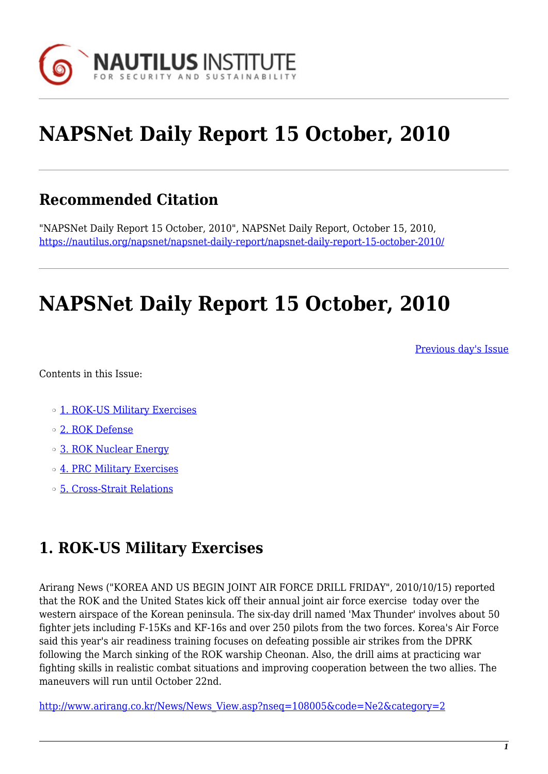

# **NAPSNet Daily Report 15 October, 2010**

### **Recommended Citation**

"NAPSNet Daily Report 15 October, 2010", NAPSNet Daily Report, October 15, 2010, <https://nautilus.org/napsnet/napsnet-daily-report/napsnet-daily-report-15-october-2010/>

## **NAPSNet Daily Report 15 October, 2010**

[Previous day's Issue](http://nautilus.org/mailing-lists/napsnet/dr/2010/napsnet-daily-report-14-october-2010)

Contents in this Issue:

- o [1. ROK-US Military Exercises](http://oldsite.nautilus.org/napsnet/dr/#item2)
- ❍ [2. ROK Defense](http://oldsite.nautilus.org/napsnet/dr/#item3)
- o [3. ROK Nuclear Energy](http://oldsite.nautilus.org/napsnet/dr/#item4)
- ❍ [4. PRC Military Exercises](http://oldsite.nautilus.org/napsnet/dr/#item5)
- ❍ [5. Cross-Strait Relations](http://oldsite.nautilus.org/napsnet/dr/#item6)

#### **1. ROK-US Military Exercises**

Arirang News ("KOREA AND US BEGIN JOINT AIR FORCE DRILL FRIDAY", 2010/10/15) reported that the ROK and the United States kick off their annual joint air force exercise today over the western airspace of the Korean peninsula. The six-day drill named 'Max Thunder' involves about 50 fighter jets including F-15Ks and KF-16s and over 250 pilots from the two forces. Korea's Air Force said this year's air readiness training focuses on defeating possible air strikes from the DPRK following the March sinking of the ROK warship Cheonan. Also, the drill aims at practicing war fighting skills in realistic combat situations and improving cooperation between the two allies. The maneuvers will run until October 22nd.

[http://www.arirang.co.kr/News/News\\_View.asp?nseq=108005&code=Ne2&category=2](http://www.arirang.co.kr/News/News_View.asp?nseq=108005&code=Ne2&category=2)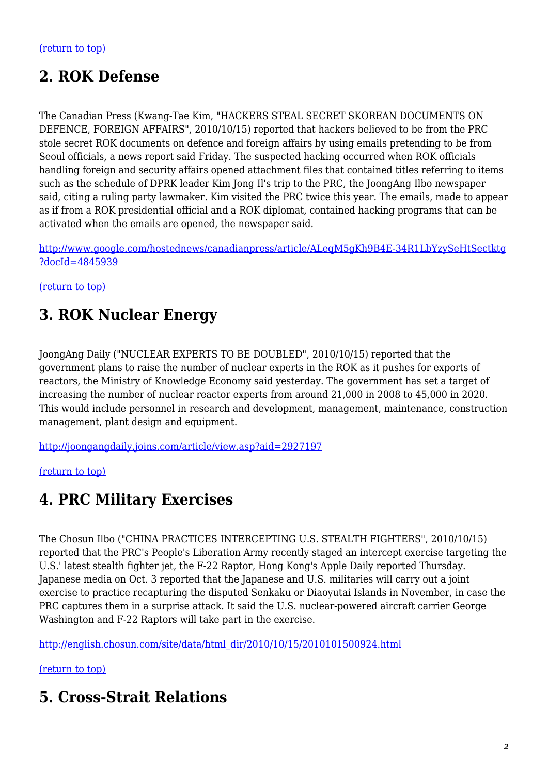## **2. ROK Defense**

The Canadian Press (Kwang-Tae Kim, "HACKERS STEAL SECRET SKOREAN DOCUMENTS ON DEFENCE, FOREIGN AFFAIRS", 2010/10/15) reported that hackers believed to be from the PRC stole secret ROK documents on defence and foreign affairs by using emails pretending to be from Seoul officials, a news report said Friday. The suspected hacking occurred when ROK officials handling foreign and security affairs opened attachment files that contained titles referring to items such as the schedule of DPRK leader Kim Jong Il's trip to the PRC, the JoongAng Ilbo newspaper said, citing a ruling party lawmaker. Kim visited the PRC twice this year. The emails, made to appear as if from a ROK presidential official and a ROK diplomat, contained hacking programs that can be activated when the emails are opened, the newspaper said.

[http://www.google.com/hostednews/canadianpress/article/ALeqM5gKh9B4E-34R1LbYzySeHtSectktg](http://www.google.com/hostednews/canadianpress/article/ALeqM5gKh9B4E-34R1LbYzySeHtSectktg?docId=4845939) [?docId=4845939](http://www.google.com/hostednews/canadianpress/article/ALeqM5gKh9B4E-34R1LbYzySeHtSectktg?docId=4845939)

[\(return to top\)](http://oldsite.nautilus.org/napsnet/dr/#top)

#### **3. ROK Nuclear Energy**

JoongAng Daily ("NUCLEAR EXPERTS TO BE DOUBLED", 2010/10/15) reported that the government plans to raise the number of nuclear experts in the ROK as it pushes for exports of reactors, the Ministry of Knowledge Economy said yesterday. The government has set a target of increasing the number of nuclear reactor experts from around 21,000 in 2008 to 45,000 in 2020. This would include personnel in research and development, management, maintenance, construction management, plant design and equipment.

<http://joongangdaily.joins.com/article/view.asp?aid=2927197>

#### [\(return to top\)](http://oldsite.nautilus.org/napsnet/dr/#top)

#### **4. PRC Military Exercises**

The Chosun Ilbo ("CHINA PRACTICES INTERCEPTING U.S. STEALTH FIGHTERS", 2010/10/15) reported that the PRC's People's Liberation Army recently staged an intercept exercise targeting the U.S.' latest stealth fighter jet, the F-22 Raptor, Hong Kong's Apple Daily reported Thursday. Japanese media on Oct. 3 reported that the Japanese and U.S. militaries will carry out a joint exercise to practice recapturing the disputed Senkaku or Diaoyutai Islands in November, in case the PRC captures them in a surprise attack. It said the U.S. nuclear-powered aircraft carrier George Washington and F-22 Raptors will take part in the exercise.

[http://english.chosun.com/site/data/html\\_dir/2010/10/15/2010101500924.html](http://english.chosun.com/site/data/html_dir/2010/10/15/2010101500924.html)

#### [\(return to top\)](http://oldsite.nautilus.org/napsnet/dr/#top)

#### **5. Cross-Strait Relations**